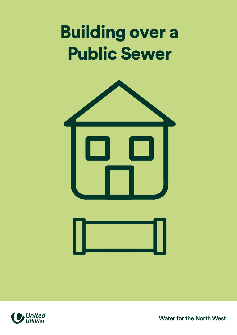## Building over a Public Sewer







Water for the North West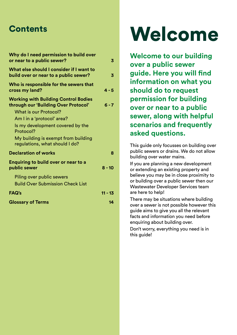| Why do I need permission to build over<br>or near to a public sewer?                                                                                                                                                                                                        | 3        |
|-----------------------------------------------------------------------------------------------------------------------------------------------------------------------------------------------------------------------------------------------------------------------------|----------|
| What else should I consider if I want to<br>build over or near to a public sewer?                                                                                                                                                                                           | 3        |
| Who is responsible for the sewers that<br>cross my land?                                                                                                                                                                                                                    | 4 - 5    |
| <b>Working with Building Control Bodies</b><br>through our 'Building Over Protocol'<br><b>What is our Protocol?</b><br>Am I in a 'protocol' area?<br>Is my development covered by the<br>Protocol?<br>My building is exempt from building<br>regulations, what should I do? | $6 - 7$  |
| <b>Declaration of works</b>                                                                                                                                                                                                                                                 | 8        |
| <b>Enquiring to build over or near to a</b><br>public sewer                                                                                                                                                                                                                 | $8 - 10$ |
| Piling over public sewers<br><b>Build Over Submission Check List</b>                                                                                                                                                                                                        |          |
| FAQ's                                                                                                                                                                                                                                                                       | 11 - 13  |
| <b>Glossary of Terms</b>                                                                                                                                                                                                                                                    | 14       |

## Contents Welcome

**Welcome to our building over a public sewer guide. Here you will find information on what you should do to request permission for building over or near to a public sewer, along with helpful scenarios and frequently asked questions.** 

This guide only focusses on building over public sewers or drains. We do not allow building over water mains.

If you are planning a new development or extending an existing property and believe you may be in close proximity to or building over a public sewer then our Wastewater Developer Services team are here to help!

There may be situations where building over a sewer is not possible however this guide aims to give you all the relevant facts and information you need before enquiring about building over.

Don't worry, everything you need is in this quide!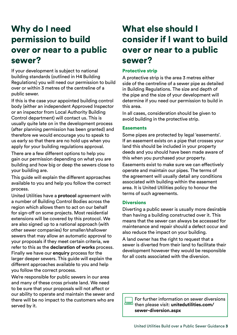## Why do I need permission to build over or near to a public sewer?

If your development is subject to national building standards (outlined in H4 Building Regulations) you will need our permission to build over or within 3 metres of the centreline of a public sewer.

If this is the case your appointed building control body (either an independent Approved Inspector or an inspector from Local Authority Building Control department) will contact us. This is usually quite late on in the development process (after planning permission has been granted) and therefore we would encourage you to speak to us early so that there are no hold ups when you apply for your building regulations approval.

There are a few different options to help you gain our permission depending on what you are building and how big or deep the sewers close to your building are.

This guide will explain the different approaches available to you and help you follow the correct process.

United Utilities have a **protocol** agreement with a number of Building Control Bodies across the region which allows them to act on our behalf for sign-off on some projects. Most residential extensions will be covered by this protocol. We are also signed up to a national approach (with other sewer companies) for smaller/shallower sewers that may allow an automatic approval to your proposals if they meet certain criteria, we refer to this as the **declaration of works** process. Finally we have our **enquiry** process for the larger deeper sewers. This guide will explain the different approaches available to you and help you follow the correct process.

We're responsible for public sewers in our area and many of these cross private land. We need to be sure that your proposals will not affect or our ability to operate and maintain the sewer and there will be no impact to the customers who are served by it.

## What else should I consider if I want to build over or near to a public sewer?

#### Protective strip

A protective strip is the area 3 metres either side of the centreline of a sewer pipe as detailed in Building Regulations. The size and depth of the pipe and the size of your development will determine if you need our permission to build in this area.

In all cases, consideration should be given to avoid building in the protective strip.

#### **Easements**

Some pipes are protected by legal 'easements'. If an easement exists on a pipe that crosses your land this should be included in your property deeds and you should have been made aware of this when you purchased your property.

Easements exist to make sure we can effectively operate and maintain our pipes. The terms of the agreement will usually detail any conditions associated with building within the easement area. It is United Utilities policy to honour the terms of such agreements.

#### **Diversions**

Diverting a public sewer is usually more desirable than having a building constructed over it. This means that the sewer can always be accessed for maintenance and repair should a defect occur and also reduce the impact on your building.

A land owner has the right to request that a sewer is diverted from their land to facilitate their development however they would be responsible for all costs associated with the diversion.

[For further information on sewer diversions](https://unitedutilities.com/sewer-diversion.aspx)  then please visit: **unitedutilities.com/ sewer-diversion.aspx**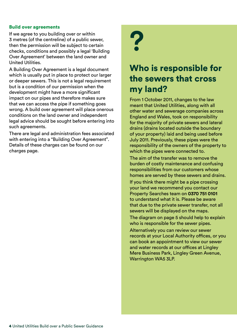#### Build over agreements

If we agree to you building over or within 3 metres (of the centreline) of a public sewer, then the permission will be subject to certain checks, conditions and possibly a legal 'Building Over Agreement' between the land owner and United Utilities.

A Building Over Agreement is a legal document which is usually put in place to protect our larger or deeper sewers. This is not a legal requirement but is a condition of our permission when the development might have a more significant impact on our pipes and therefore makes sure that we can access the pipe if something goes wrong. A build over agreement will place onerous conditions on the land owner and independent legal advice should be sought before entering into such agreements.

There are legal and administration fees associated with entering into a "Building Over Agreement". Details of these charges can be found on our charges page.



### Who is responsible for the sewers that cross my land?

From 1 October 2011, changes to the law meant that United Utilities, along with all other water and sewerage companies across England and Wales, took on responsibility for the majority of private sewers and lateral drains (drains located outside the boundary of your property) laid and being used before July 2011. Previously, these pipes were the responsibility of the owners of the property to which the pipes were connected to.

The aim of the transfer was to remove the burden of costly maintenance and confusing responsibilities from our customers whose homes are served by these sewers and drains.

If you think there might be a pipe crossing your land we recommend you contact our Property Searches team on **0370 751 0101**  to understand what it is. Please be aware that due to the private sewer transfer, not all sewers will be displayed on the maps.

The diagram on page 5 should help to explain who is responsible for the sewer pipes.

Alternatively you can review our sewer records at your Local Authority offices, or you can book an appointment to view our sewer and water records at our offices at Lingley Mere Business Park, Lingley Green Avenue, Warrington WA5 3LP.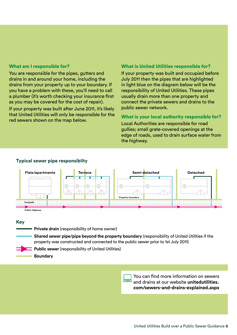#### What am I responsible for?

You are responsible for the pipes, gutters and drains in and around your home, including the drains from your property up to your boundary. If you have a problem with these, you'll need to call a plumber (it's worth checking your insurance first as you may be covered for the cost of repair).

If your property was built after June 2011, it's likely that United Utilities will only be responsible for the red sewers shown on the map below.

#### What is United Utilities responsible for?

If your property was built and occupied before July 2011 then the pipes that are highlighted in light blue on the diagram below will be the responsibility of United Utilities. These pipes usually drain more than one property and connect the private sewers and drains to the public sewer network.

#### What is your local authority responsible for?

Local Authorities are responsible for road gullies; small grate-covered openings at the edge of roads, used to drain surface water from the highway.





#### **Key**

**Private drain** (responsibility of home owner)

**Shared sewer pipe/pipe beyond the property boundary** (responsibility of United Utilities if the property was constructed and connected to the public sewer prior to 1st July 2011)

► **Public sewer** (responsibility of United Utilities)

**Boundary** 

You can find more information on sewers and drains at our website **unitedutilities. [com/sewers-and-drains-explained.aspx](https://www.unitedutilities.com/help-and-support/wastewater-services/sewers-and-drains-explained/)**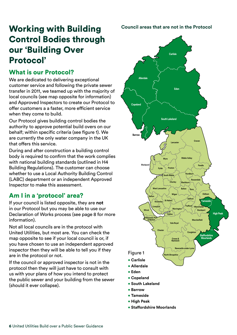## Working with Building Control Bodies through our 'Building Over Protocol'

#### What is our Protocol?

We are dedicated to delivering exceptional customer service and following the private sewer transfer in 2011, we teamed up with the majority of local councils (see map opposite for information) and Approved Inspectors to create our Protocol to offer customers a a faster, more efficient service when they come to build.

Our Protocol gives building control bodies the authority to approve potential build overs on our behalf; within specific criteria (see figure 1). We are currently the only water company in the UK that offers this service.

During and after construction a building control body is required to confirm that the work complies with national building standards (outlined in H4 Building Regulations). The customer can choose whether to use a Local Authority Building Control (LABC) department or an independent Approved Inspector to make this assessment.

#### Am I in a 'protocol' area?

If your council is listed opposite, they are **not**  in our Protocol but you may be able to use our Declaration of Works process (see page 8 for more information).

Not all local councils are in the protocol with United Utilities, but most are. You can check the map opposite to see if your local council is or, if you have chosen to use an independent approved inspector then they will be able to tell you if they are in the protocol or not.

If the council or approved inspector is not in the protocol then they will just have to consult with us with your plans of how you intend to protect the public sewer and your building from the sewer (should it ever collapse).

**Council areas that are not in the Protocol** 



- **High Peak**
- **• Staffordshire Moorlands**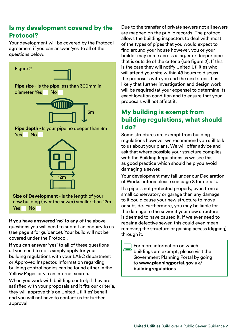#### Is my development covered by the Protocol?

Your development will be covered by the Protocol agreement if you can answer 'yes' to all of the questions below.



**Size of Development** - Is the length of your new building (over the sewer) smaller than 12m Yes No

**If you have answered 'no' to any** of the above questions you will need to submit an enquiry to us (see page 8 for guidance). Your build will not be covered under the Protocol.

**If you can answer 'yes' to all** of these questions all you need to do is simply apply for your building regulations with your LABC department or Approved Inspector. Information regarding building control bodies can be found either in the Yellow Pages or via an internet search.

When you work with building control; if they are satisfied with your proposals and it fits our criteria, they will approve this on United Utilities' behalf and you will not have to contact us for further approval.

Due to the transfer of private sewers not all sewers are mapped on the public records. The protocol allows the building inspectors to deal with most of the types of pipes that you would expect to find around your house however, you or your builder may come across a larger or deeper pipe that is outside of the criteria (see figure 2). If this is the case they will notify United Utilities who will attend your site within 48 hours to discuss the proposals with you and the next steps. It is likely that further investigation and design work will be required (at your expense) to determine its exact location condition and to ensure that your proposals will not affect it.

#### My building is exempt from building regulations, what should I do?

Some structures are exempt from building regulations however we recommend you still talk to us about your plans. We will offer advice and ask that where possible your structure complies with the Building Regulations as we see this as good practice which should help you avoid damaging a sewer.

Your development may fall under our Declaration of Works criteria please see page 8 for details.

If a pipe is not protected properly, even from a small conservatory or garage then any damage to it could cause your new structure to move or subside. Furthermore, you may be liable for the damage to the sewer if your new structure is deemed to have caused it. If we ever need to repair a defective sewer, this could even mean removing the structure or gaining access (digging) through it.

For more information on which buildings are exempt, please visit the Government Planning Portal by going to **[www.planningportal.gov.uk/](www.planningportal.gov.uk/buildingregulations)  buildingregulations**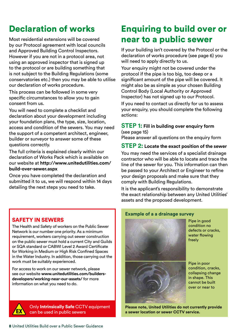## Declaration of works

Most residential extensions will be covered by our Protocol agreement with local councils and Approved Building Control Inspectors. However if you are not in a protocol area, not using an approved inspector that is signed up to the protocol or are building something that is not subject to the Building Regulations (some conservatories etc.) then you may be able to utilise our declaration of works procedure.

This process can be followed in some very specific circumstances to allow you to gain consent from us.

You will need to complete a checklist and declaration about your development including your foundation plans, the type, size, location, access and condition of the sewers. You may need the support of a competent architect, engineer, builder or surveyor to answer some of these questions correctly.

The full criteria is explained clearly within our declaration of Works Pack which is available on our website at **[http://www.unitedutilities.com/](http://www.unitedutilities.com/build-over-sewer.aspx)  build-over-sewer.aspx** 

Once you have completed the declaration and submitted it to us, we will respond within 14 days detailing the next steps you need to take.

## Enquiring to build over or near to a public sewer

If your building isn't covered by the Protocol or the declaration of works procedure (see page 6) you will need to apply directly to us.

Your enquiry might not be covered under the protocol if the pipe is too big, too deep or a significant amount of the pipe will be covered. It might also be as simple as your chosen Building Control Body (Local Authority or Approved Inspector) has not signed up to our Protocol.

If you need to contact us directly for us to assess your enquiry, you should complete the following actions:

#### **STEP 1: Fill in building over enquiry form**

(see page 15)

Please answer all questions on the enquiry form

#### **STEP 2: Locate the exact position of the sewer**

You may need the services of a specialist drainage contractor who will be able to locate and trace the line of the sewer for you. This information can then be passed to your Architect or Engineer to refine your design proposals and make sure that they comply with Building Regulations.

It is the applicant's responsibility to demonstrate the exact relationship between any United Utilities' assets and the proposed development.

#### SAFETY IN SEWERS

The Health and Safety of workers on the Public Sewer Network is our number one priority. As a minimum requirement, workers carrying out sewer construction on the public sewer must hold a current City and Guilds or SQA standard or CABWI Level 2 Award Certificate for Working in Medium or High Risk Confined Spaces in the Water Industry. In addition, those carrying out the work must be suitably experienced.

For access to work on our sewer network, please see our website **[www.unitedutilities.com/builders](www.unitedutilities.com/builders-developers/working-near-our-assets/)[developers/working-near-our-assets/](www.unitedutilities.com/builders-developers/working-near-our-assets/)** for more information on what you need to do.



Only Intrinsically Safe CCTV equipment can be used in public sewers

#### **Example of a a drainage survey**



Pipe in good condition no defects or cracks, water flowing freely

Pipe in poor condition, cracks, collapsing change in shape. This cannot be built over or near to

**Please note, United Utilities do not currently provide a sewer location or sewer CCTV service.**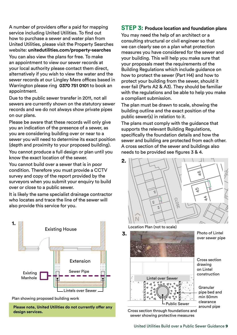A number of providers offer a paid for mapping service including United Utilities. To find out how to purchase a sewer and water plan from United Utilities, please visit the Property Searches website: **[unitedutilities.com/property-searches](https://unitedutilities.com/property-searches)** 

You can also view the plans for free. To make an appointment to view our sewer records at your local authority please contact them direct, alternatively if you wish to view the water and the sewer records at our Lingley Mere offices based in Warrington please ring **0370 751 0101** to book an appointment.

Due to the public sewer transfer in 2011, not all sewers are currently shown on the statutory sewer records and we do not always show private pipes on our plans.

Please be aware that these records will only give you an indication of the presence of a sewer, as you are considering building over or near to a sewer you will need to determine its exact position (depth and proximity to your proposed building). You cannot produce a full design or plan until you know the exact location of the sewer.

You cannot build over a sewer that is in poor condition. Therefore you must provide a CCTV survey and copy of the report provided by the surveyors when you submit your enquiry to build over or close to a public sewer.

It is likely the same specialist drainage contractor who locates and trace the line of the sewer will also provide this service for you.



Plan showing proposed building work

**Please note, United Utilities do not currently offer any design services.** 

#### **STEP 3: Produce location and foundation plans**

You may need the help of an architect or a consulting structural or civil engineer so that we can clearly see on a plan what protection measures you have considered for the sewer and your building. This will help you make sure that your proposals meet the requirements of the Building Regulations which include guidance on how to protect the sewer (Part H4) and how to protect your building from the sewer, should it ever fail (Parts A2 & A3). They should be familiar with the regulations and be able to help you make a compliant submission.

The plan must be drawn to scale, showing the building outline and the exact position of the public sewer(s) in relation to it.

The plans must comply with the guidance that supports the relevant Building Regulations, specifically the foundation details and how the sewer and building are protected from each other. A cross section of the sewer and buildings also needs to be provided see figures 3 & 4.



Location Plan (not to scale)



over sewer pipe

Cross section drawing on Lintel construction

Granular pipe bed and min 50mm

Cross section through foundations and sewer showing protective measures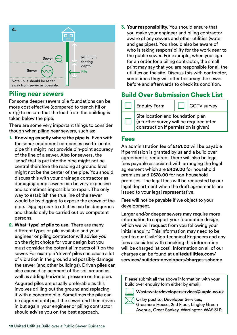

#### Piling near sewers

For some deeper sewers pile foundations can be more cost effective (compared to trench fill or strip) to ensure that the load from the building is taken below the pipe.

There are some very important things to consider though when piling near sewers, such as;

- 1. **Knowing exactly where the pipe is.** Even with the sonar equipment companies use to locate pipe this might not provide pin-point accuracy of the line of a sewer. Also for sewers, the 'sond' that is put into the pipe might not be central therefore the reading at ground level might not be the center of the pipe. You should discuss this with your drainage contractor as damaging deep sewers can be very expensive and sometimes impossible to repair. The only way to establish the true line of the sewer would be by digging to expose the crown of the pipe. Digging near to utilities can be dangerous and should only be carried out by competent persons.
- 2. **What 'type' of pile to use.** There are many different types of pile available and your engineer or piling contractor will advise you on the right choice for your design but you must consider the potential impacts of it on the sewer. For example 'driven' piles can cause a lot of vibration in the ground and possibly damage the sewer (and other buildings). Driven piles can also cause displacement of the soil around as well as adding horizontal pressure on the pipe. Augured piles are usually preferable as this involves drilling out the ground and replacing it with a concrete pile. Sometimes the pile can be augured until past the sewer and then driven in but again your engineer or piling contractor should advise you on the best approach.

 3. **Your responsibility.** You should ensure that you make your engineer and piling contractor aware of any sewers and other utilities (water and gas pipes). You should also be aware of who is taking responsibility for the work near to the public sewer. For example, when you sign for an order for a piling contractor, the small print may say that you are responsible for all the utilities on the site. Discuss this with contractor, sometimes they will offer to survey the sewer before and afterwards to check its condition.

#### Build Over Submission Check List

| <b>Enquiry Form</b>                                                                                                   |  | <b>CCTV</b> survey |  |  |  |
|-----------------------------------------------------------------------------------------------------------------------|--|--------------------|--|--|--|
| Site location and foundation plan<br>(a further survey will be required after<br>construction if permission is given) |  |                    |  |  |  |

#### Fees

An administration fee of **£161.00** will be payable if permission is granted by us and a build over agreement is required. There will also be legal fees payable associated with arranging the legal agreement which are **£409.00** for household premises and **£578.00** for non-household premises. The legal fees will be requested by our legal department when the draft agreements are issued to your legal representative.

Fees will not be payable if we object to your development.

Larger and/or deeper sewers may require more information to support your foundation design, which we will request from you following your initial enquiry. This information may need to be sent to our Civil/Geo-technical Engineers and any fees associated with checking this information will be charged 'at cost'. Information on all of our charges can be found at **[unitedutilities.com/](https://www.unitedutilities.com/services/builders-developers/charges-scheme)  [services/builders-developers/charges-scheme](https://www.unitedutilities.com/services/builders-developers/charges-scheme)** 

Please submit all the above information with your build over enquiry form either by email;

**[Wastewaterdeveloperservices@uuplc.co.uk](mailto:Wastewaterdeveloperservices@uuplc.co.uk)** 

Or by post to; Developer Services, Grasmere House, 2nd Floor, Lingley Green Avenue, Great Sankey, Warrington WA5 3LP.

10 United Utilities Build over a Public Sewer Guidance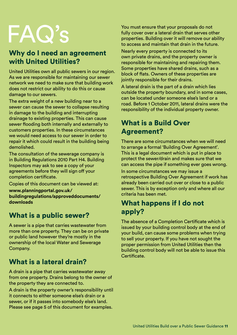# FAQ's

#### Why do I need an agreement with United Utilities?

United Utilities own all public sewers in our region. As we are responsible for maintaining our sewer network we need to make sure that building work does not restrict our ability to do this or cause damage to our sewers.

The extra weight of a new building near to a sewer can cause the sewer to collapse resulting in damage to the building and interrupting drainage to existing properties. This can cause sewer flooding both internally and externally to customers properties. In these circumstances we would need access to our sewer in order to repair it which could result in the building being demolished.

The consultation of the sewerage company is in Building Regulations 2010 Part H4. Building Inspectors may ask to see a copy of your agreements before they will sign off your completion certificate.

Copies of this document can be viewed at:

**www.planningportal.gov.uk/ [buildingregulations/approveddocuments/](www.planningportal.gov.uk/buildingregulations/approveddocuments/downloads)  downloads** 

#### What is a public sewer?

A sewer is a pipe that carries wastewater from more than one property. They can be on private or public land however they're mostly in the ownership of the local Water and Sewerage Company.

### What is a lateral drain?

A drain is a pipe that carries wastewater away from one property. Drains belong to the owner of the property they are connected to.

A drain is the property owner's responsibility until it connects to either someone else's drain or a sewer, or if it passes into somebody else's land. Please see page 5 of this document for examples.

You must ensure that your proposals do not fully cover over a lateral drain that serves other properties. Building over it will remove our ability to access and maintain that drain in the future.

Nearly every property is connected to its own private drains, and the property owner is responsible for maintaining and repairing them. Some properties have shared drains, such as a block of flats. Owners of these properties are jointly responsible for their drains.

A lateral drain is the part of a drain which lies outside the property boundary, and in some cases, can be located under someone else's land or a road. Before 1 October 2011, lateral drains were the responsibility of the individual property owner.

#### What is a Build Over Agreement?

There are some circumstances when we will need to arrange a formal 'Building Over Agreement'. This is a legal document which is put in place to protect the sewer/drain and makes sure that we can access the pipe if something ever goes wrong.

In some circumstances we may issue a retrospective Building Over Agreement if work has already been carried out over or close to a public sewer. This is by exception only and where all our criteria has been met.

### What happens if I do not apply?

The absence of a Completion Certificate which is issued by your building control body at the end of your build, can cause some problems when trying to sell your property. If you have not sought the proper permission from United Utilities then the building control body will not be able to issue this Certificate.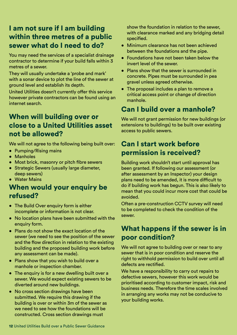#### I am not sure if I am building within three metres of a public sewer what do I need to do?

You may need the services of a specialist drainage contractor to determine if your build falls within 3 metres of a sewer.

They will usually undertake a 'probe and mark' with a sonar device to plot the line of the sewer at ground level and establish its depth.

United Utilities doesn't currently offer this service however private contractors can be found using an internet search.

#### When will building over or close to a United Utilities asset not be allowed?

We will not agree to the following being built over:

- Pumping/Rising mains
- Manholes
- Most brick, masonry or pitch fibre sewers
- Strategic Sewers (usually large diameter, deep sewers)
- Water Mains

#### When would your enquiry be refused?

- The Build Over enquiry form is either incomplete or information is not clear.
- No location plans have been submitted with the enquiry form.
- Plans do not show the exact location of the sewer (we need to see the position of the sewer and the flow direction in relation to the existing building and the proposed building work before any assessment can be made).
- Plans show that you wish to build over a manhole or inspection chamber.
- The enquiry is for a new dwelling built over a sewer. We would expect existing sewers to be diverted around new buildings.
- No cross section drawings have been submitted. We require this drawing if the building is over or within 3m of the sewer as we need to see how the foundations will be constructed. Cross section drawings must

show the foundation in relation to the sewer, with clearance marked and any bridging detail specified.

- Minimum clearance has not been achieved between the foundations and the pipe.
- Foundations have not been taken below the invert level of the sewer.
- Plans show that the sewer is surrounded in concrete. Pipes must be surrounded in pea gravel unless agreed otherwise.
- The proposal includes a plan to remove a critical access point or change of direction manhole.

#### Can I build over a manhole?

We will not grant permission for new buildings (or extensions to buildings) to be built over existing access to public sewers.

#### Can I start work before permission is received?

Building work shouldn't start until approval has been granted. If following our assessment (or after assessment by an Inspector) your design plans need to be amended, it is more difficult to do if building work has begun. This is also likely to mean that you could incur more cost that could be avoided.

Often a pre-construction CCTV survey will need to be completed to check the condition of the sewer.

#### What happens if the sewer is in poor condition?

We will not agree to building over or near to any sewer that is in poor condition and reserve the right to withhold permission to build over until all defects are rectified.

We have a responsibility to carry out repairs to defective sewers, however this work would be prioritised according to customer impact, risk and business needs. Therefore the time scales involved in arranging any works may not be conducive to your building works.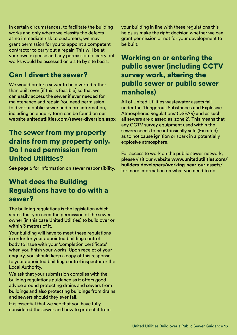In certain circumstances, to facilitate the building works and only where we classify the defects as no immediate risk to customers, we may grant permission for you to appoint a competent contractor to carry out a repair. This will be at your own expense and any permission to carry out works would be assessed on a site by site basis.

### Can I divert the sewer?

We would prefer a sewer to be diverted rather than built over (if this is feasible) so that we can easily access the sewer if ever needed for maintenance and repair. You need permission to divert a public sewer and more information, including an enquiry form can be found on our website **[unitedutilities.com/sewer-diversion.aspx](https://unitedutilities.com/sewer-diversion.aspx)** 

#### The sewer from my property drains from my property only. Do I need permission from United Utilities?

See page 5 for information on sewer responsibility.

#### What does the Building Regulations have to do with a sewer?

The building regulations is the legislation which states that you need the permission of the sewer owner (in this case United Utilities) to build over or within 3 metres of it.

Your building will have to meet these regulations in order for your appointed building control body to issue with your 'completion certificate' when you finish your works. Upon receipt of your enquiry, you should keep a copy of this response to your appointed building control inspector or the Local Authority.

We ask that your submission complies with the building regulations guidance as it offers good advice around protecting drains and sewers from buildings and also protecting buildings from drains and sewers should they ever fail.

It is essential that we see that you have fully considered the sewer and how to protect it from your building in line with these regulations this helps us make the right decision whether we can grant permission or not for your development to be built.

#### Working on or entering the public sewer (including CCTV survey work, altering the public sewer or public sewer manholes)

All of United Utilities wastewater assets fall under the 'Dangerous Substances and Explosive Atmospheres Regulations' (DSEAR) and as such all sewers are classed as 'zone 2'. This means that any CCTV survey equipment used within the sewers needs to be intrinsically safe (Ex rated) as to not cause ignition or spark in a potentially explosive atmosphere.

For access to work on the public sewer network, please visit our website **[www.unitedutilities.com](https://www.unitedutilities.com/builders-developers/working-near-our-assets/)/ [builders-developers/working-near-our-assets/](https://www.unitedutilities.com/builders-developers/working-near-our-assets/)**  for more information on what you need to do.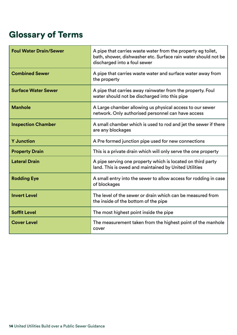## Glossary of Terms

| <b>Foul Water Drain/Sewer</b> | A pipe that carries waste water from the property eg toilet,<br>bath, shower, dishwasher etc. Surface rain water should not be<br>discharged into a foul sewer |
|-------------------------------|----------------------------------------------------------------------------------------------------------------------------------------------------------------|
| <b>Combined Sewer</b>         | A pipe that carries waste water and surface water away from<br>the property                                                                                    |
| <b>Surface Water Sewer</b>    | A pipe that carries away rainwater from the property. Foul<br>water should not be discharged into this pipe                                                    |
| <b>Manhole</b>                | A Large chamber allowing us physical access to our sewer<br>network. Only authorised personnel can have access                                                 |
| <b>Inspection Chamber</b>     | A small chamber which is used to rod and jet the sewer if there<br>are any blockages                                                                           |
| <b>Y</b> Junction             | A Pre formed junction pipe used for new connections                                                                                                            |
| <b>Property Drain</b>         | This is a private drain which will only serve the one property                                                                                                 |
| <b>Lateral Drain</b>          | A pipe serving one property which is located on third party<br>land. This is owed and maintained by United Utilities                                           |
| <b>Rodding Eye</b>            | A small entry into the sewer to allow access for rodding in case<br>of blockages                                                                               |
| <b>Invert Level</b>           | The level of the sewer or drain which can be measured from<br>the inside of the bottom of the pipe                                                             |
| <b>Soffit Level</b>           | The most highest point inside the pipe                                                                                                                         |
| <b>Cover Level</b>            | The measurement taken from the highest point of the manhole<br>cover                                                                                           |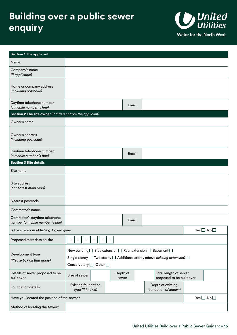## **Building over a public sewer enquiry**



| <b>Section 1 The applicant</b>                                     |                                                                                                                                                                                                                               |  |                   |       |  |                                                    |                            |
|--------------------------------------------------------------------|-------------------------------------------------------------------------------------------------------------------------------------------------------------------------------------------------------------------------------|--|-------------------|-------|--|----------------------------------------------------|----------------------------|
| Name                                                               |                                                                                                                                                                                                                               |  |                   |       |  |                                                    |                            |
| Company's name<br>(if applicable)                                  |                                                                                                                                                                                                                               |  |                   |       |  |                                                    |                            |
| Home or company address<br>(including postcode)                    |                                                                                                                                                                                                                               |  |                   |       |  |                                                    |                            |
| Daytime telephone number<br>(a mobile number is fine)              |                                                                                                                                                                                                                               |  |                   | Email |  |                                                    |                            |
| Section 2 The site owner (if different from the applicant)         |                                                                                                                                                                                                                               |  |                   |       |  |                                                    |                            |
| Owner's name                                                       |                                                                                                                                                                                                                               |  |                   |       |  |                                                    |                            |
| Owner's address<br>(including postcode)                            |                                                                                                                                                                                                                               |  |                   |       |  |                                                    |                            |
| Daytime telephone number<br>(a mobile number is fine)              |                                                                                                                                                                                                                               |  |                   | Email |  |                                                    |                            |
| <b>Section 3 Site details</b>                                      |                                                                                                                                                                                                                               |  |                   |       |  |                                                    |                            |
| Site name                                                          |                                                                                                                                                                                                                               |  |                   |       |  |                                                    |                            |
| Site address<br>(or nearest main road)                             |                                                                                                                                                                                                                               |  |                   |       |  |                                                    |                            |
| Nearest postcode                                                   |                                                                                                                                                                                                                               |  |                   |       |  |                                                    |                            |
| Contractor's name                                                  |                                                                                                                                                                                                                               |  |                   |       |  |                                                    |                            |
| Contractor's daytime telephone<br>number (a mobile number is fine) |                                                                                                                                                                                                                               |  |                   | Email |  |                                                    |                            |
| Is the site accessible? e.g. locked gates                          |                                                                                                                                                                                                                               |  |                   |       |  |                                                    | Yes $\Box$ No $\Box$       |
| Proposed start date on site                                        |                                                                                                                                                                                                                               |  |                   |       |  |                                                    |                            |
| Development type<br>(Please tick all that apply)                   | New building $\square$ Side extension $\square$ Rear extension $\square$ Basement $\square$<br>Single storey $\Box$ Two storey $\Box$ Additional storey (above existing extension) $\Box$<br>Conservatory $\Box$ Other $\Box$ |  |                   |       |  |                                                    |                            |
| Details of sewer proposed to be<br>built over                      | Size of sewer                                                                                                                                                                                                                 |  | Depth of<br>sewer |       |  | Total length of sewer<br>proposed to be built over |                            |
| <b>Foundation details</b>                                          | Existing foundation<br>type (if known)                                                                                                                                                                                        |  |                   |       |  | Depth of existing<br>foundation (if known)         |                            |
| Have you located the position of the sewer?                        |                                                                                                                                                                                                                               |  |                   |       |  |                                                    | Yes $\square$ No $\square$ |
| Method of locating the sewer?                                      |                                                                                                                                                                                                                               |  |                   |       |  |                                                    |                            |